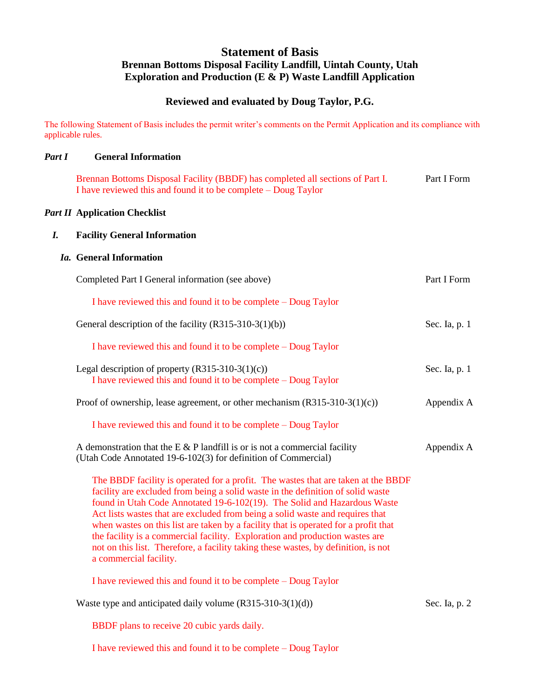# **Statement of Basis Brennan Bottoms Disposal Facility Landfill, Uintah County, Utah Exploration and Production (E & P) Waste Landfill Application**

# **Reviewed and evaluated by Doug Taylor, P.G.**

The following Statement of Basis includes the permit writer's comments on the Permit Application and its compliance with applicable rules.

### *Part I* **General Information**

Brennan Bottoms Disposal Facility (BBDF) has completed all sections of Part I. Part I Form I have reviewed this and found it to be complete – Doug Taylor

### *Part II* **Application Checklist**

## *I.* **Facility General Information**

## *Ia.* **General Information**

| Completed Part I General information (see above)                                                                                                                                                                                                                                                                                                                                                                                                                                                                                                                                                                         | Part I Form   |
|--------------------------------------------------------------------------------------------------------------------------------------------------------------------------------------------------------------------------------------------------------------------------------------------------------------------------------------------------------------------------------------------------------------------------------------------------------------------------------------------------------------------------------------------------------------------------------------------------------------------------|---------------|
| I have reviewed this and found it to be complete – Doug Taylor                                                                                                                                                                                                                                                                                                                                                                                                                                                                                                                                                           |               |
| General description of the facility $(R315-310-3(1)(b))$                                                                                                                                                                                                                                                                                                                                                                                                                                                                                                                                                                 | Sec. Ia, p. 1 |
| I have reviewed this and found it to be complete – Doug Taylor                                                                                                                                                                                                                                                                                                                                                                                                                                                                                                                                                           |               |
| Legal description of property $(R315-310-3(1)(c))$<br>I have reviewed this and found it to be complete – Doug Taylor                                                                                                                                                                                                                                                                                                                                                                                                                                                                                                     | Sec. Ia, p. 1 |
| Proof of ownership, lease agreement, or other mechanism $(R315-310-3(1)(c))$                                                                                                                                                                                                                                                                                                                                                                                                                                                                                                                                             | Appendix A    |
| I have reviewed this and found it to be complete – Doug Taylor                                                                                                                                                                                                                                                                                                                                                                                                                                                                                                                                                           |               |
| A demonstration that the E $&$ P landfill is or is not a commercial facility<br>(Utah Code Annotated 19-6-102(3) for definition of Commercial)                                                                                                                                                                                                                                                                                                                                                                                                                                                                           | Appendix A    |
| The BBDF facility is operated for a profit. The wastes that are taken at the BBDF<br>facility are excluded from being a solid waste in the definition of solid waste<br>found in Utah Code Annotated 19-6-102(19). The Solid and Hazardous Waste<br>Act lists wastes that are excluded from being a solid waste and requires that<br>when wastes on this list are taken by a facility that is operated for a profit that<br>the facility is a commercial facility. Exploration and production wastes are<br>not on this list. Therefore, a facility taking these wastes, by definition, is not<br>a commercial facility. |               |
| I have reviewed this and found it to be complete – Doug Taylor                                                                                                                                                                                                                                                                                                                                                                                                                                                                                                                                                           |               |
| Waste type and anticipated daily volume $(R315-310-3(1)(d))$                                                                                                                                                                                                                                                                                                                                                                                                                                                                                                                                                             | Sec. Ia, p. 2 |
| BBDF plans to receive 20 cubic yards daily.                                                                                                                                                                                                                                                                                                                                                                                                                                                                                                                                                                              |               |
| I have reviewed this and found it to be complete – Doug Taylor                                                                                                                                                                                                                                                                                                                                                                                                                                                                                                                                                           |               |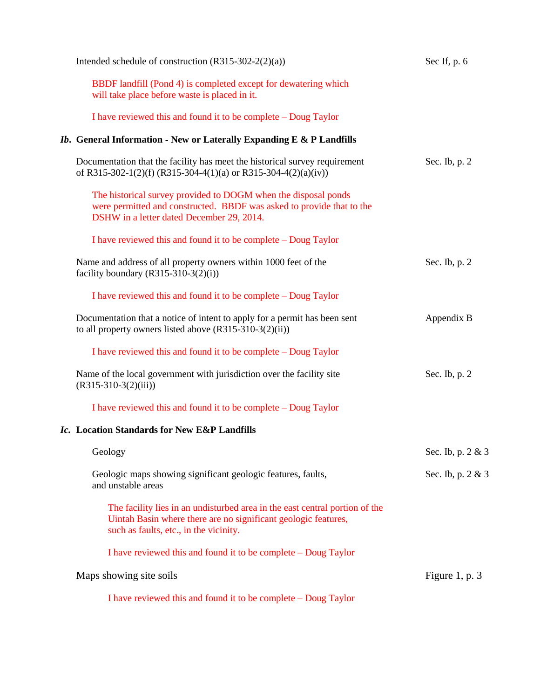| Intended schedule of construction $(R315-302-2(2)(a))$                                                                                                                                  | Sec If, $p.6$     |
|-----------------------------------------------------------------------------------------------------------------------------------------------------------------------------------------|-------------------|
| BBDF landfill (Pond 4) is completed except for dewatering which<br>will take place before waste is placed in it.                                                                        |                   |
| I have reviewed this and found it to be complete – Doug Taylor                                                                                                                          |                   |
| Ib. General Information - New or Laterally Expanding E & P Landfills                                                                                                                    |                   |
| Documentation that the facility has meet the historical survey requirement<br>of R315-302-1(2)(f) (R315-304-4(1)(a) or R315-304-4(2)(a)(iv))                                            | Sec. Ib, p. 2     |
| The historical survey provided to DOGM when the disposal ponds<br>were permitted and constructed. BBDF was asked to provide that to the<br>DSHW in a letter dated December 29, 2014.    |                   |
| I have reviewed this and found it to be complete – Doug Taylor                                                                                                                          |                   |
| Name and address of all property owners within 1000 feet of the<br>facility boundary $(R315-310-3(2)(i))$                                                                               | Sec. Ib, $p. 2$   |
| I have reviewed this and found it to be complete – Doug Taylor                                                                                                                          |                   |
| Documentation that a notice of intent to apply for a permit has been sent<br>to all property owners listed above $(R315-310-3(2)(ii))$                                                  | Appendix B        |
| I have reviewed this and found it to be complete – Doug Taylor                                                                                                                          |                   |
| Name of the local government with jurisdiction over the facility site<br>$(R315-310-3(2)(iii))$                                                                                         | Sec. Ib, p. 2     |
| I have reviewed this and found it to be complete – Doug Taylor                                                                                                                          |                   |
| Ic. Location Standards for New E&P Landfills                                                                                                                                            |                   |
| Geology                                                                                                                                                                                 | Sec. Ib, p. 2 & 3 |
| Geologic maps showing significant geologic features, faults,<br>and unstable areas                                                                                                      | Sec. Ib, p. 2 & 3 |
| The facility lies in an undisturbed area in the east central portion of the<br>Uintah Basin where there are no significant geologic features,<br>such as faults, etc., in the vicinity. |                   |
| I have reviewed this and found it to be complete – Doug Taylor                                                                                                                          |                   |
| Maps showing site soils                                                                                                                                                                 | Figure 1, p. $3$  |
| I have reviewed this and found it to be complete – Doug Taylor                                                                                                                          |                   |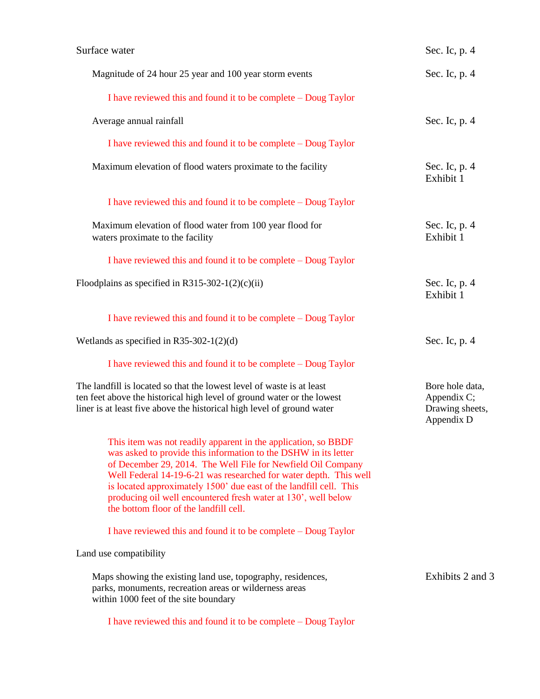| Surface water                                                                                                                                                                                                                                                                                                                                                                                                                                            | Sec. Ic, p. 4                                                   |
|----------------------------------------------------------------------------------------------------------------------------------------------------------------------------------------------------------------------------------------------------------------------------------------------------------------------------------------------------------------------------------------------------------------------------------------------------------|-----------------------------------------------------------------|
| Magnitude of 24 hour 25 year and 100 year storm events                                                                                                                                                                                                                                                                                                                                                                                                   | Sec. Ic, p. 4                                                   |
| I have reviewed this and found it to be complete – Doug Taylor                                                                                                                                                                                                                                                                                                                                                                                           |                                                                 |
| Average annual rainfall                                                                                                                                                                                                                                                                                                                                                                                                                                  | Sec. Ic, p. 4                                                   |
| I have reviewed this and found it to be complete – Doug Taylor                                                                                                                                                                                                                                                                                                                                                                                           |                                                                 |
| Maximum elevation of flood waters proximate to the facility                                                                                                                                                                                                                                                                                                                                                                                              | Sec. Ic, p. 4<br>Exhibit 1                                      |
| I have reviewed this and found it to be complete – Doug Taylor                                                                                                                                                                                                                                                                                                                                                                                           |                                                                 |
| Maximum elevation of flood water from 100 year flood for<br>waters proximate to the facility                                                                                                                                                                                                                                                                                                                                                             | Sec. Ic, p. 4<br>Exhibit 1                                      |
| I have reviewed this and found it to be complete – Doug Taylor                                                                                                                                                                                                                                                                                                                                                                                           |                                                                 |
| Floodplains as specified in R315-302-1(2)(c)(ii)                                                                                                                                                                                                                                                                                                                                                                                                         | Sec. Ic, p. 4<br>Exhibit 1                                      |
| I have reviewed this and found it to be complete – Doug Taylor                                                                                                                                                                                                                                                                                                                                                                                           |                                                                 |
| Wetlands as specified in R35-302-1(2)(d)                                                                                                                                                                                                                                                                                                                                                                                                                 | Sec. Ic, p. 4                                                   |
| I have reviewed this and found it to be complete – Doug Taylor                                                                                                                                                                                                                                                                                                                                                                                           |                                                                 |
| The landfill is located so that the lowest level of waste is at least<br>ten feet above the historical high level of ground water or the lowest<br>liner is at least five above the historical high level of ground water                                                                                                                                                                                                                                | Bore hole data,<br>Appendix C;<br>Drawing sheets,<br>Appendix D |
| This item was not readily apparent in the application, so BBDF<br>was asked to provide this information to the DSHW in its letter<br>of December 29, 2014. The Well File for Newfield Oil Company<br>Well Federal 14-19-6-21 was researched for water depth. This well<br>is located approximately 1500' due east of the landfill cell. This<br>producing oil well encountered fresh water at 130', well below<br>the bottom floor of the landfill cell. |                                                                 |
| I have reviewed this and found it to be complete – Doug Taylor                                                                                                                                                                                                                                                                                                                                                                                           |                                                                 |
| Land use compatibility                                                                                                                                                                                                                                                                                                                                                                                                                                   |                                                                 |
| Maps showing the existing land use, topography, residences,<br>parks, monuments, recreation areas or wilderness areas<br>within 1000 feet of the site boundary                                                                                                                                                                                                                                                                                           | Exhibits 2 and 3                                                |
| I have reviewed this and found it to be complete – Doug Taylor                                                                                                                                                                                                                                                                                                                                                                                           |                                                                 |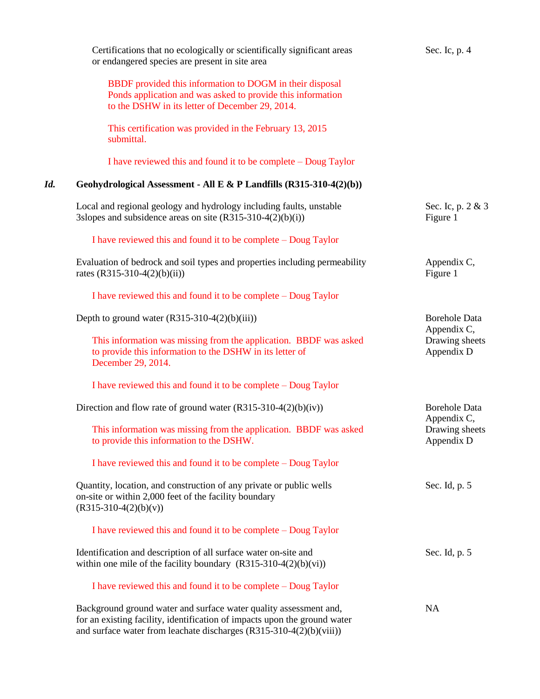|     | Certifications that no ecologically or scientifically significant areas<br>or endangered species are present in site area                                                                                               | Sec. Ic, p. 4                               |
|-----|-------------------------------------------------------------------------------------------------------------------------------------------------------------------------------------------------------------------------|---------------------------------------------|
|     | BBDF provided this information to DOGM in their disposal<br>Ponds application and was asked to provide this information<br>to the DSHW in its letter of December 29, 2014.                                              |                                             |
|     | This certification was provided in the February 13, 2015<br>submittal.                                                                                                                                                  |                                             |
|     | I have reviewed this and found it to be complete – Doug Taylor                                                                                                                                                          |                                             |
| Id. | Geohydrological Assessment - All E & P Landfills (R315-310-4(2)(b))                                                                                                                                                     |                                             |
|     | Local and regional geology and hydrology including faults, unstable<br>3slopes and subsidence areas on site $(R315-310-4(2)(b)(i))$                                                                                     | Sec. Ic, p. 2 & 3<br>Figure 1               |
|     | I have reviewed this and found it to be complete – Doug Taylor                                                                                                                                                          |                                             |
|     | Evaluation of bedrock and soil types and properties including permeability<br>rates $(R315-310-4(2)(b)(ii))$                                                                                                            | Appendix C,<br>Figure 1                     |
|     | I have reviewed this and found it to be complete – Doug Taylor                                                                                                                                                          |                                             |
|     | Depth to ground water $(R315-310-4(2)(b)(iii))$                                                                                                                                                                         | <b>Borehole Data</b>                        |
|     | This information was missing from the application. BBDF was asked<br>to provide this information to the DSHW in its letter of<br>December 29, 2014.                                                                     | Appendix C,<br>Drawing sheets<br>Appendix D |
|     | I have reviewed this and found it to be complete – Doug Taylor                                                                                                                                                          |                                             |
|     | Direction and flow rate of ground water $(R315-310-4(2)(b)(iv))$                                                                                                                                                        | <b>Borehole Data</b>                        |
|     | This information was missing from the application. BBDF was asked<br>to provide this information to the DSHW.                                                                                                           | Appendix C,<br>Drawing sheets<br>Appendix D |
|     | I have reviewed this and found it to be complete – Doug Taylor                                                                                                                                                          |                                             |
|     | Quantity, location, and construction of any private or public wells<br>on-site or within 2,000 feet of the facility boundary<br>$(R315-310-4(2)(b)(v))$                                                                 | Sec. Id, p. 5                               |
|     | I have reviewed this and found it to be complete – Doug Taylor                                                                                                                                                          |                                             |
|     | Identification and description of all surface water on-site and<br>within one mile of the facility boundary $(R315-310-4(2)(b)(vi))$                                                                                    | Sec. Id, p. 5                               |
|     | I have reviewed this and found it to be complete – Doug Taylor                                                                                                                                                          |                                             |
|     | Background ground water and surface water quality assessment and,<br>for an existing facility, identification of impacts upon the ground water<br>and surface water from leachate discharges $(R315-310-4(2)(b)(viii))$ | NA                                          |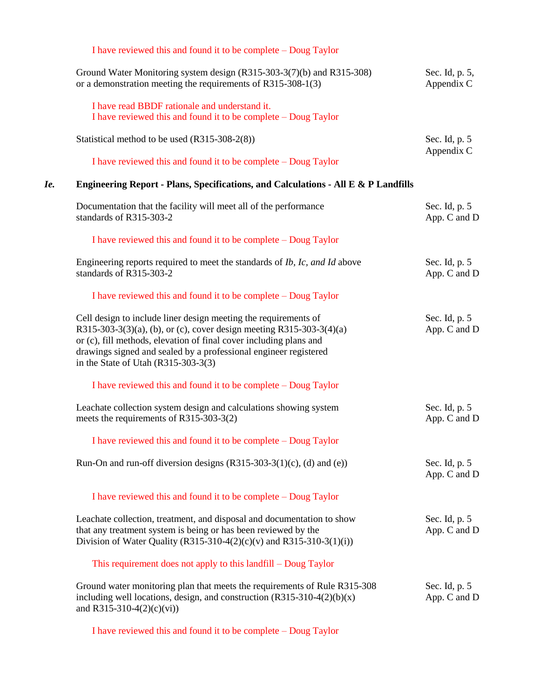|     | I have reviewed this and found it to be complete – Doug Taylor                                                                                                                                                                                                                                                              |                               |
|-----|-----------------------------------------------------------------------------------------------------------------------------------------------------------------------------------------------------------------------------------------------------------------------------------------------------------------------------|-------------------------------|
|     | Ground Water Monitoring system design (R315-303-3(7)(b) and R315-308)<br>or a demonstration meeting the requirements of R315-308-1(3)                                                                                                                                                                                       | Sec. Id, p. 5,<br>Appendix C  |
|     | I have read BBDF rationale and understand it.<br>I have reviewed this and found it to be complete – Doug Taylor                                                                                                                                                                                                             |                               |
|     | Statistical method to be used (R315-308-2(8))                                                                                                                                                                                                                                                                               | Sec. Id, p. 5<br>Appendix C   |
|     | I have reviewed this and found it to be complete – Doug Taylor                                                                                                                                                                                                                                                              |                               |
| Ie. | Engineering Report - Plans, Specifications, and Calculations - All E & P Landfills                                                                                                                                                                                                                                          |                               |
|     | Documentation that the facility will meet all of the performance<br>standards of R315-303-2                                                                                                                                                                                                                                 | Sec. Id, p. 5<br>App. C and D |
|     | I have reviewed this and found it to be complete – Doug Taylor                                                                                                                                                                                                                                                              |                               |
|     | Engineering reports required to meet the standards of <i>Ib</i> , <i>Ic</i> , and <i>Id</i> above<br>standards of R315-303-2                                                                                                                                                                                                | Sec. Id, p. 5<br>App. C and D |
|     | I have reviewed this and found it to be complete – Doug Taylor                                                                                                                                                                                                                                                              |                               |
|     | Cell design to include liner design meeting the requirements of<br>R315-303-3(3)(a), (b), or (c), cover design meeting R315-303-3(4)(a)<br>or (c), fill methods, elevation of final cover including plans and<br>drawings signed and sealed by a professional engineer registered<br>in the State of Utah $(R315-303-3(3))$ | Sec. Id, p. 5<br>App. C and D |
|     | I have reviewed this and found it to be complete – Doug Taylor                                                                                                                                                                                                                                                              |                               |
|     | Leachate collection system design and calculations showing system<br>meets the requirements of R315-303-3(2)                                                                                                                                                                                                                | Sec. Id, p. 5<br>App. C and D |
|     | I have reviewed this and found it to be complete – Doug Taylor                                                                                                                                                                                                                                                              |                               |
|     | Run-On and run-off diversion designs $(R315-303-3(1)(c), (d)$ and $(e)$ )                                                                                                                                                                                                                                                   | Sec. Id, p. 5<br>App. C and D |
|     | I have reviewed this and found it to be complete – Doug Taylor                                                                                                                                                                                                                                                              |                               |
|     | Leachate collection, treatment, and disposal and documentation to show<br>that any treatment system is being or has been reviewed by the<br>Division of Water Quality (R315-310-4(2)(c)(v) and R315-310-3(1)(i))                                                                                                            | Sec. Id, p. 5<br>App. C and D |
|     | This requirement does not apply to this landfill – Doug Taylor                                                                                                                                                                                                                                                              |                               |
|     | Ground water monitoring plan that meets the requirements of Rule R315-308<br>including well locations, design, and construction $(R315-310-4(2)(b)(x)$<br>and R315-310-4 $(2)(c)(vi)$                                                                                                                                       | Sec. Id, p. 5<br>App. C and D |

I have reviewed this and found it to be complete – Doug Taylor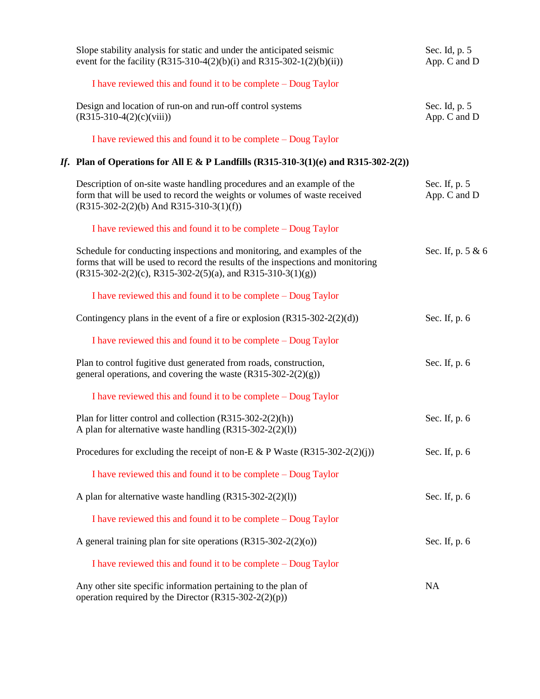| Slope stability analysis for static and under the anticipated seismic<br>event for the facility (R315-310-4(2)(b)(i) and R315-302-1(2)(b)(ii))                                                                             | Sec. Id, p. 5<br>App. C and D |
|----------------------------------------------------------------------------------------------------------------------------------------------------------------------------------------------------------------------------|-------------------------------|
| I have reviewed this and found it to be complete – Doug Taylor                                                                                                                                                             |                               |
| Design and location of run-on and run-off control systems<br>$(R315-310-4(2)(c)(viii))$                                                                                                                                    | Sec. Id, p. 5<br>App. C and D |
| I have reviewed this and found it to be complete – Doug Taylor                                                                                                                                                             |                               |
| If. Plan of Operations for All E & P Landfills $(R315-310-3(1)(e)$ and $R315-302-2(2))$                                                                                                                                    |                               |
| Description of on-site waste handling procedures and an example of the<br>form that will be used to record the weights or volumes of waste received<br>$(R315-302-2(2)(b)$ And R315-310-3(1)(f))                           | Sec. If, p. 5<br>App. C and D |
| I have reviewed this and found it to be complete – Doug Taylor                                                                                                                                                             |                               |
| Schedule for conducting inspections and monitoring, and examples of the<br>forms that will be used to record the results of the inspections and monitoring<br>$(R315-302-2(2)(c), R315-302-2(5)(a),$ and R315-310-3(1)(g)) | Sec. If, p. 5 & 6             |
| I have reviewed this and found it to be complete – Doug Taylor                                                                                                                                                             |                               |
| Contingency plans in the event of a fire or explosion $(R315-302-2(2)(d))$                                                                                                                                                 | Sec. If, p. 6                 |
| I have reviewed this and found it to be complete – Doug Taylor                                                                                                                                                             |                               |
| Plan to control fugitive dust generated from roads, construction,<br>general operations, and covering the waste $(R315-302-2(2)(g))$                                                                                       | Sec. If, p. 6                 |
| I have reviewed this and found it to be complete – Doug Taylor                                                                                                                                                             |                               |
| Plan for litter control and collection $(R315-302-2(2)(h))$<br>A plan for alternative waste handling $(R315-302-2(2)(1))$                                                                                                  | Sec. If, p. 6                 |
| Procedures for excluding the receipt of non-E & P Waste $(R315-302-2(2)(i))$                                                                                                                                               | Sec. If, p. 6                 |
| I have reviewed this and found it to be complete – Doug Taylor                                                                                                                                                             |                               |
| A plan for alternative waste handling (R315-302-2(2)(l))                                                                                                                                                                   | Sec. If, p. 6                 |
| I have reviewed this and found it to be complete – Doug Taylor                                                                                                                                                             |                               |
| A general training plan for site operations $(R315-302-2(2)(o))$                                                                                                                                                           | Sec. If, p. 6                 |
| I have reviewed this and found it to be complete – Doug Taylor                                                                                                                                                             |                               |
| Any other site specific information pertaining to the plan of<br>operation required by the Director $(R315-302-2(2)(p))$                                                                                                   | NA                            |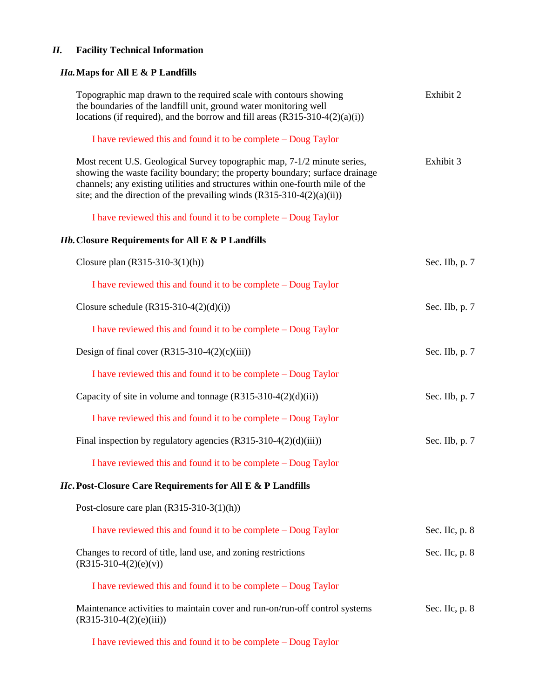# *II.* **Facility Technical Information**

# *IIa.***Maps for All E & P Landfills**

| Topographic map drawn to the required scale with contours showing<br>the boundaries of the landfill unit, ground water monitoring well<br>locations (if required), and the borrow and fill areas $(R315-310-4(2)(a)(i))$                                                                                              | Exhibit 2      |
|-----------------------------------------------------------------------------------------------------------------------------------------------------------------------------------------------------------------------------------------------------------------------------------------------------------------------|----------------|
| I have reviewed this and found it to be complete – Doug Taylor                                                                                                                                                                                                                                                        |                |
| Most recent U.S. Geological Survey topographic map, 7-1/2 minute series,<br>showing the waste facility boundary; the property boundary; surface drainage<br>channels; any existing utilities and structures within one-fourth mile of the<br>site; and the direction of the prevailing winds $(R315-310-4(2)(a)(ii))$ | Exhibit 3      |
| I have reviewed this and found it to be complete – Doug Taylor                                                                                                                                                                                                                                                        |                |
| <b>IIb.</b> Closure Requirements for All E & P Landfills                                                                                                                                                                                                                                                              |                |
| Closure plan $(R315-310-3(1)(h))$                                                                                                                                                                                                                                                                                     | Sec. IIb, p. 7 |
| I have reviewed this and found it to be complete – Doug Taylor                                                                                                                                                                                                                                                        |                |
| Closure schedule $(R315-310-4(2)(d)(i))$                                                                                                                                                                                                                                                                              | Sec. IIb, p. 7 |
| I have reviewed this and found it to be complete – Doug Taylor                                                                                                                                                                                                                                                        |                |
| Design of final cover $(R315-310-4(2)(c)(iii))$                                                                                                                                                                                                                                                                       | Sec. IIb, p. 7 |
| I have reviewed this and found it to be complete – Doug Taylor                                                                                                                                                                                                                                                        |                |
| Capacity of site in volume and tonnage (R315-310-4(2)(d)(ii))                                                                                                                                                                                                                                                         | Sec. IIb, p. 7 |
| I have reviewed this and found it to be complete – Doug Taylor                                                                                                                                                                                                                                                        |                |
| Final inspection by regulatory agencies $(R315-310-4(2)(d)(iii))$                                                                                                                                                                                                                                                     | Sec. IIb, p. 7 |
| I have reviewed this and found it to be complete – Doug Taylor                                                                                                                                                                                                                                                        |                |
| <i>IIc</i> . Post-Closure Care Requirements for All E & P Landfills                                                                                                                                                                                                                                                   |                |
| Post-closure care plan $(R315-310-3(1)(h))$                                                                                                                                                                                                                                                                           |                |
| I have reviewed this and found it to be complete – Doug Taylor                                                                                                                                                                                                                                                        | Sec. IIc, p. 8 |
| Changes to record of title, land use, and zoning restrictions<br>$(R315-310-4(2)(e)(v))$                                                                                                                                                                                                                              | Sec. IIc, p. 8 |
| I have reviewed this and found it to be complete – Doug Taylor                                                                                                                                                                                                                                                        |                |
| Maintenance activities to maintain cover and run-on/run-off control systems<br>$(R315-310-4(2)(e)(iii))$                                                                                                                                                                                                              | Sec. IIc, p. 8 |
| I have reviewed this and found it to be complete - Doug Taylor                                                                                                                                                                                                                                                        |                |